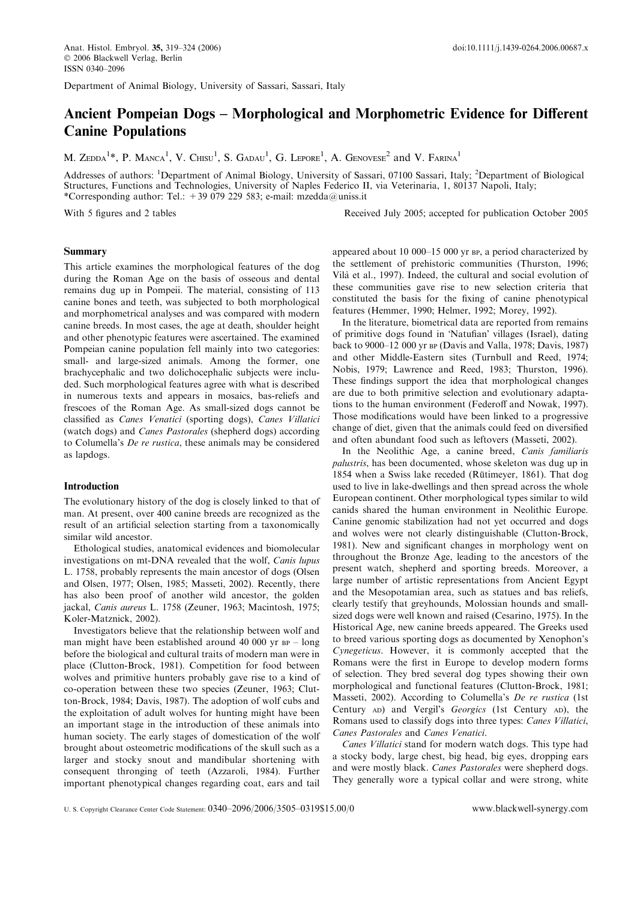Department of Animal Biology, University of Sassari, Sassari, Italy

# Ancient Pompeian Dogs – Morphological and Morphometric Evidence for Different Canine Populations

M. Zedda<sup>1</sup>\*, P. Manca<sup>1</sup>, V. Chisu<sup>1</sup>, S. Gadau<sup>1</sup>, G. Lepore<sup>1</sup>, A. Genovese<sup>2</sup> and V. Farina<sup>1</sup>

Addresses of authors: <sup>1</sup>Department of Animal Biology, University of Sassari, 07100 Sassari, Italy; <sup>2</sup>Department of Biological Structures, Functions and Technologies, University of Naples Federico II, via Veterinaria, 1, 80137 Napoli, Italy; \*Corresponding author: Tel.: +39 079 229 583; e-mail: mzedda@uniss.it

With 5 figures and 2 tables Received July 2005; accepted for publication October 2005

## Summary

This article examines the morphological features of the dog during the Roman Age on the basis of osseous and dental remains dug up in Pompeii. The material, consisting of 113 canine bones and teeth, was subjected to both morphological and morphometrical analyses and was compared with modern canine breeds. In most cases, the age at death, shoulder height and other phenotypic features were ascertained. The examined Pompeian canine population fell mainly into two categories: small- and large-sized animals. Among the former, one brachycephalic and two dolichocephalic subjects were included. Such morphological features agree with what is described in numerous texts and appears in mosaics, bas-reliefs and frescoes of the Roman Age. As small-sized dogs cannot be classified as Canes Venatici (sporting dogs), Canes Villatici (watch dogs) and Canes Pastorales (shepherd dogs) according to Columella's De re rustica, these animals may be considered as lapdogs.

#### Introduction

The evolutionary history of the dog is closely linked to that of man. At present, over 400 canine breeds are recognized as the result of an artificial selection starting from a taxonomically similar wild ancestor.

Ethological studies, anatomical evidences and biomolecular investigations on mt-DNA revealed that the wolf, Canis lupus L. 1758, probably represents the main ancestor of dogs (Olsen and Olsen, 1977; Olsen, 1985; Masseti, 2002). Recently, there has also been proof of another wild ancestor, the golden jackal, Canis aureus L. 1758 (Zeuner, 1963; Macintosh, 1975; Koler-Matznick, 2002).

Investigators believe that the relationship between wolf and man might have been established around 40 000 yr  $BP - long$ before the biological and cultural traits of modern man were in place (Clutton-Brock, 1981). Competition for food between wolves and primitive hunters probably gave rise to a kind of co-operation between these two species (Zeuner, 1963; Clutton-Brock, 1984; Davis, 1987). The adoption of wolf cubs and the exploitation of adult wolves for hunting might have been an important stage in the introduction of these animals into human society. The early stages of domestication of the wolf brought about osteometric modifications of the skull such as a larger and stocky snout and mandibular shortening with consequent thronging of teeth (Azzaroli, 1984). Further important phenotypical changes regarding coat, ears and tail appeared about 10 000–15 000 yr bp, a period characterized by the settlement of prehistoric communities (Thurston, 1996; Vila` et al., 1997). Indeed, the cultural and social evolution of these communities gave rise to new selection criteria that constituted the basis for the fixing of canine phenotypical features (Hemmer, 1990; Helmer, 1992; Morey, 1992).

In the literature, biometrical data are reported from remains of primitive dogs found in 'Natufian' villages (Israel), dating back to 9000–12 000 yr bp (Davis and Valla, 1978; Davis, 1987) and other Middle-Eastern sites (Turnbull and Reed, 1974; Nobis, 1979; Lawrence and Reed, 1983; Thurston, 1996). These findings support the idea that morphological changes are due to both primitive selection and evolutionary adaptations to the human environment (Federoff and Nowak, 1997). Those modifications would have been linked to a progressive change of diet, given that the animals could feed on diversified and often abundant food such as leftovers (Masseti, 2002).

In the Neolithic Age, a canine breed, Canis familiaris palustris, has been documented, whose skeleton was dug up in 1854 when a Swiss lake receded (Rütimeyer, 1861). That dog used to live in lake-dwellings and then spread across the whole European continent. Other morphological types similar to wild canids shared the human environment in Neolithic Europe. Canine genomic stabilization had not yet occurred and dogs and wolves were not clearly distinguishable (Clutton-Brock, 1981). New and significant changes in morphology went on throughout the Bronze Age, leading to the ancestors of the present watch, shepherd and sporting breeds. Moreover, a large number of artistic representations from Ancient Egypt and the Mesopotamian area, such as statues and bas reliefs, clearly testify that greyhounds, Molossian hounds and smallsized dogs were well known and raised (Cesarino, 1975). In the Historical Age, new canine breeds appeared. The Greeks used to breed various sporting dogs as documented by Xenophon's Cynegeticus. However, it is commonly accepted that the Romans were the first in Europe to develop modern forms of selection. They bred several dog types showing their own morphological and functional features (Clutton-Brock, 1981; Masseti, 2002). According to Columella's De re rustica (1st Century AD) and Vergil's Georgics (1st Century AD), the Romans used to classify dogs into three types: Canes Villatici, Canes Pastorales and Canes Venatici.

Canes Villatici stand for modern watch dogs. This type had a stocky body, large chest, big head, big eyes, dropping ears and were mostly black. Canes Pastorales were shepherd dogs. They generally wore a typical collar and were strong, white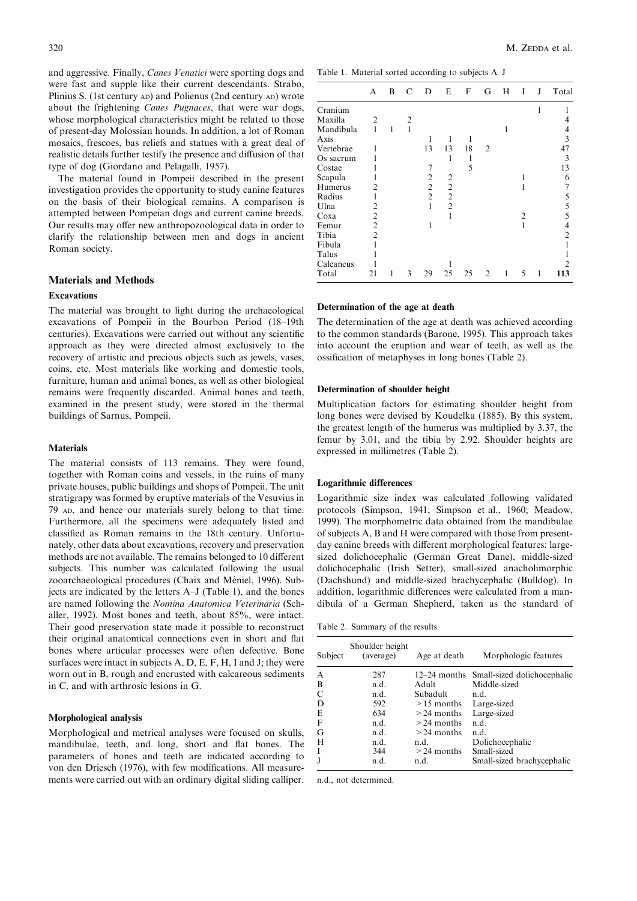and aggressive. Finally, Canes Venatici were sporting dogs and were fast and supple like their current descendants. Strabo, Plinius S. (1st century AD) and Polienus (2nd century AD) wrote about the frightening Canes Pugnaces, that were war dogs, whose morphological characteristics might be related to those of present-day Molossian hounds. In addition, a lot of Roman mosaics, frescoes, bas reliefs and statues with a great deal of realistic details further testify the presence and diffusion of that type of dog (Giordano and Pelagalli, 1957).

The material found in Pompeii described in the present investigation provides the opportunity to study canine features on the basis of their biological remains. A comparison is attempted between Pompeian dogs and current canine breeds. Our results may offer new anthropozoological data in order to clarify the relationship between men and dogs in ancient Roman society.

## Materials and Methods

### Excavations

The material was brought to light during the archaeological excavations of Pompeii in the Bourbon Period (18–19th centuries). Excavations were carried out without any scientific approach as they were directed almost exclusively to the recovery of artistic and precious objects such as jewels, vases, coins, etc. Most materials like working and domestic tools, furniture, human and animal bones, as well as other biological remains were frequently discarded. Animal bones and teeth, examined in the present study, were stored in the thermal buildings of Sarnus, Pompeii.

# Materials

The material consists of 113 remains. They were found, together with Roman coins and vessels, in the ruins of many private houses, public buildings and shops of Pompeii. The unit stratigrapy was formed by eruptive materials of the Vesuvius in 79 AD, and hence our materials surely belong to that time. Furthermore, all the specimens were adequately listed and classified as Roman remains in the 18th century. Unfortunately, other data about excavations, recovery and preservation methods are not available. The remains belonged to 10 different subjects. This number was calculated following the usual zooarchaeological procedures (Chaix and Méniel, 1996). Subjects are indicated by the letters A–J (Table 1), and the bones are named following the Nomina Anatomica Veterinaria (Schaller, 1992). Most bones and teeth, about 85%, were intact. Their good preservation state made it possible to reconstruct their original anatomical connections even in short and flat bones where articular processes were often defective. Bone surfaces were intact in subjects A, D, E, F, H, I and J; they were worn out in B, rough and encrusted with calcareous sediments in C, and with arthrosic lesions in G.

## Morphological analysis

Morphological and metrical analyses were focused on skulls, mandibulae, teeth, and long, short and flat bones. The parameters of bones and teeth are indicated according to von den Driesch (1976), with few modifications. All measurements were carried out with an ordinary digital sliding calliper. Table 1. Material sorted according to subjects A–J

|           | А              | B | C | D              | E              | F  | G              | Н | I | J | Total          |
|-----------|----------------|---|---|----------------|----------------|----|----------------|---|---|---|----------------|
| Cranium   |                |   |   |                |                |    |                |   |   | 1 |                |
| Maxilla   | 2              |   | 2 |                |                |    |                |   |   |   |                |
| Mandibula |                | 1 |   |                |                |    |                |   |   |   | 4              |
| Axis      |                |   |   |                |                |    |                |   |   |   | 3              |
| Vertebrae |                |   |   | 13             | 13             | 18 | $\overline{2}$ |   |   |   | 47             |
| Os sacrum |                |   |   |                |                |    |                |   |   |   | 3              |
| Costae    |                |   |   | 7              |                | 5  |                |   |   |   | 13             |
| Scapula   |                |   |   | 2              | 2              |    |                |   |   |   | 6              |
| Humerus   | 2              |   |   | 2              | $\overline{2}$ |    |                |   |   |   | 7              |
| Radius    |                |   |   | $\overline{2}$ | $\overline{2}$ |    |                |   |   |   | 5              |
| Ulna      | 2              |   |   | 1              | $\overline{2}$ |    |                |   |   |   | 5              |
| Coxa      | $\overline{2}$ |   |   |                | 1              |    |                |   | 2 |   | 5              |
| Femur     | $\overline{2}$ |   |   | 1              |                |    |                |   |   |   | $\overline{4}$ |
| Tibia     | $\overline{2}$ |   |   |                |                |    |                |   |   |   | $\overline{2}$ |
| Fibula    |                |   |   |                |                |    |                |   |   |   |                |
| Talus     |                |   |   |                |                |    |                |   |   |   |                |
| Calcaneus |                |   |   |                |                |    |                |   |   |   | 2              |
| Total     | 21             |   | 3 | 29             | 25             | 25 | $\overline{2}$ |   | 5 |   | 113            |

#### Determination of the age at death

The determination of the age at death was achieved according to the common standards (Barone, 1995). This approach takes into account the eruption and wear of teeth, as well as the ossification of metaphyses in long bones (Table 2).

#### Determination of shoulder height

Multiplication factors for estimating shoulder height from long bones were devised by Koudelka (1885). By this system, the greatest length of the humerus was multiplied by 3.37, the femur by 3.01, and the tibia by 2.92. Shoulder heights are expressed in millimetres (Table 2).

#### Logarithmic differences

Logarithmic size index was calculated following validated protocols (Simpson, 1941; Simpson et al., 1960; Meadow, 1999). The morphometric data obtained from the mandibulae of subjects A, B and H were compared with those from presentday canine breeds with different morphological features: largesized dolichocephalic (German Great Dane), middle-sized dolichocephalic (Irish Setter), small-sized anacholimorphic (Dachshund) and middle-sized brachycephalic (Bulldog). In addition, logarithmic differences were calculated from a mandibula of a German Shepherd, taken as the standard of

Table 2. Summary of the results

| Subject | Shoulder height<br>(average) | Age at death  | Morphologic features                     |
|---------|------------------------------|---------------|------------------------------------------|
| А       | 287                          |               | 12–24 months Small-sized dolichocephalic |
| B       | n.d.                         | Adult         | Middle-sized                             |
| C       | n.d.                         | Subadult      | n.d.                                     |
| D       | 592                          | $>15$ months  | Large-sized                              |
| E       | 634                          | $>$ 24 months | Large-sized                              |
| F       | n.d.                         | $>$ 24 months | n.d.                                     |
| G       | n.d.                         | $> 24$ months | n.d.                                     |
| H       | n.d.                         | n.d.          | Dolichocephalic                          |
|         | 344                          | $>$ 24 months | Small-sized                              |
|         | n.d.                         | n.d.          | Small-sized brachycephalic               |

n.d., not determined.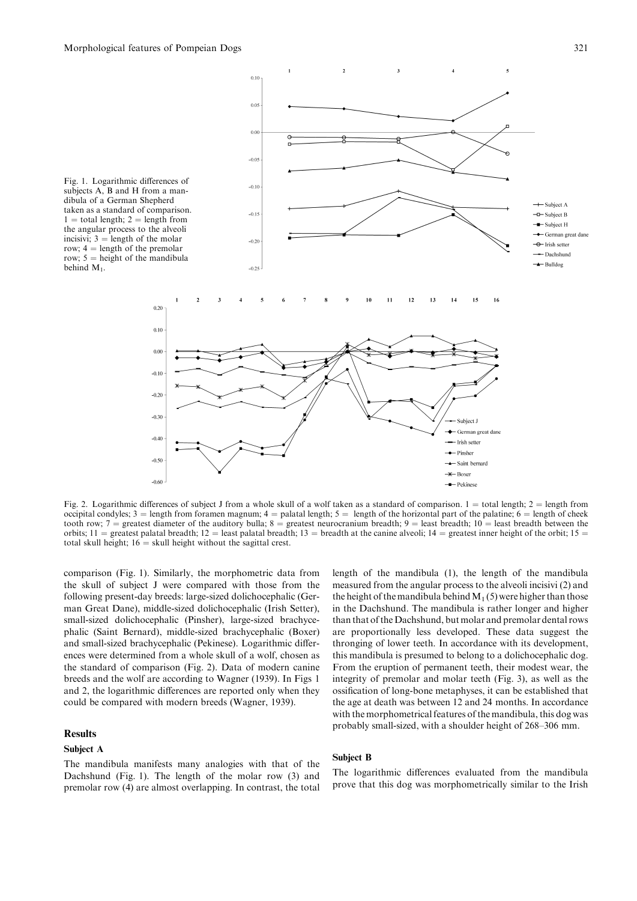$0.10$ 

 $0.01$ 

 $0.0$ 

 $-0.0$ 

 $-0.1$ 

 $-0.1$ 

 $-0.20$ 

 $-0.25$ 



Fig. 1. Logarithmic differences of subjects A<sub>,</sub> B and H from a mandibula of a German Shepherd taken as a standard of comparison.  $1 =$  total length;  $2 =$  length from the angular process to the alveoli incisivi;  $3 =$  length of the molar row;  $4 =$  length of the premolar row;  $5 =$  height of the mandibula behind M1.



Fig. 2. Logarithmic differences of subject J from a whole skull of a wolf taken as a standard of comparison.  $1 =$  total length;  $2 =$  length from occipital condyles;  $3 =$  length from foramen magnum;  $4 =$  palatal length;  $5 =$  length of the horizontal part of the palatine;  $6 =$  length of cheek tooth row; 7 = greatest diameter of the auditory bulla;  $8 =$  greatest neurocranium breadth; 9 = least breadth; 10 = least breadth between the orbits; 11 = greatest palatal breadth; 12 = least palatal breadth; 13 = breadth at the canine alveoli; 14 = greatest inner height of the orbit; 15 = total skull height;  $16 =$  skull height without the sagittal crest.

comparison (Fig. 1). Similarly, the morphometric data from the skull of subject J were compared with those from the following present-day breeds: large-sized dolichocephalic (German Great Dane), middle-sized dolichocephalic (Irish Setter), small-sized dolichocephalic (Pinsher), large-sized brachycephalic (Saint Bernard), middle-sized brachycephalic (Boxer) and small-sized brachycephalic (Pekinese). Logarithmic differences were determined from a whole skull of a wolf, chosen as the standard of comparison (Fig. 2). Data of modern canine breeds and the wolf are according to Wagner (1939). In Figs 1 and 2, the logarithmic differences are reported only when they could be compared with modern breeds (Wagner, 1939).

# Results

## Subject A

The mandibula manifests many analogies with that of the Dachshund (Fig. 1). The length of the molar row (3) and premolar row (4) are almost overlapping. In contrast, the total

length of the mandibula (1), the length of the mandibula measured from the angular process to the alveoli incisivi (2) and the height of the mandibula behind  $M_1(5)$  were higher than those in the Dachshund. The mandibula is rather longer and higher than that of the Dachshund, but molar and premolar dental rows are proportionally less developed. These data suggest the thronging of lower teeth. In accordance with its development, this mandibula is presumed to belong to a dolichocephalic dog. From the eruption of permanent teeth, their modest wear, the integrity of premolar and molar teeth (Fig. 3), as well as the ossification of long-bone metaphyses, it can be established that the age at death was between 12 and 24 months. In accordance with the morphometrical features of the mandibula, this dog was probably small-sized, with a shoulder height of 268–306 mm.

## Subject B

The logarithmic differences evaluated from the mandibula prove that this dog was morphometrically similar to the Irish

 $-\mathbf{D}$ -Subject B -Bubject H - German great dane

-O- Irish setter  $\overline{\phantom{a}}$  Dachshund  $\triangle$  Bulldog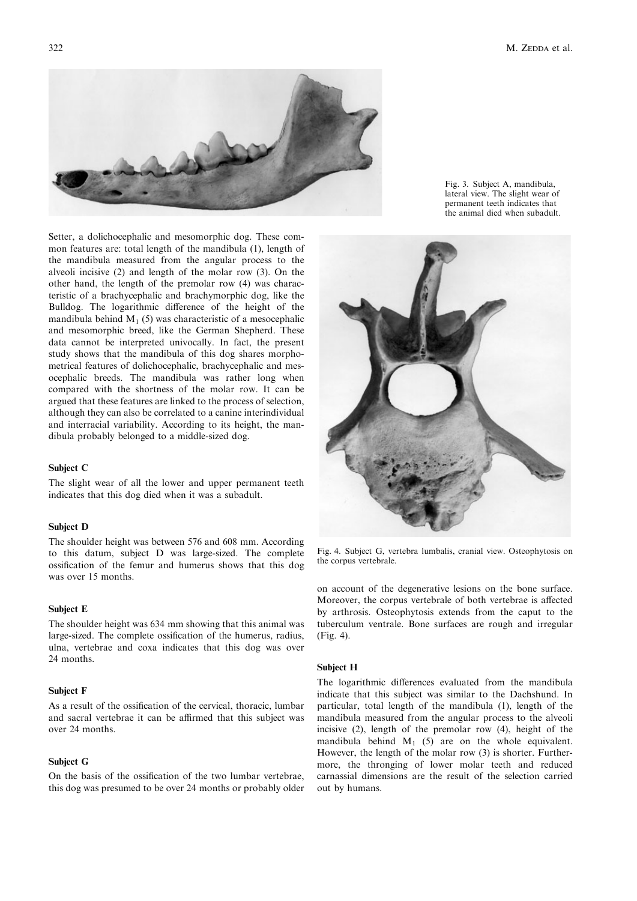

Setter, a dolichocephalic and mesomorphic dog. These common features are: total length of the mandibula (1), length of the mandibula measured from the angular process to the alveoli incisive (2) and length of the molar row (3). On the other hand, the length of the premolar row (4) was characteristic of a brachycephalic and brachymorphic dog, like the Bulldog. The logarithmic difference of the height of the mandibula behind  $M_1$  (5) was characteristic of a mesocephalic and mesomorphic breed, like the German Shepherd. These data cannot be interpreted univocally. In fact, the present study shows that the mandibula of this dog shares morphometrical features of dolichocephalic, brachycephalic and mesocephalic breeds. The mandibula was rather long when compared with the shortness of the molar row. It can be argued that these features are linked to the process of selection, although they can also be correlated to a canine interindividual and interracial variability. According to its height, the mandibula probably belonged to a middle-sized dog.

## Subject C

The slight wear of all the lower and upper permanent teeth indicates that this dog died when it was a subadult.

#### Subject D

The shoulder height was between 576 and 608 mm. According to this datum, subject D was large-sized. The complete ossification of the femur and humerus shows that this dog was over 15 months.

#### Subject E

The shoulder height was 634 mm showing that this animal was large-sized. The complete ossification of the humerus, radius, ulna, vertebrae and coxa indicates that this dog was over 24 months.

#### Subject F

As a result of the ossification of the cervical, thoracic, lumbar and sacral vertebrae it can be affirmed that this subject was over 24 months.

#### Subject G

On the basis of the ossification of the two lumbar vertebrae, this dog was presumed to be over 24 months or probably older Fig. 3. Subject A, mandibula, lateral view. The slight wear of permanent teeth indicates that the animal died when subadult.



Fig. 4. Subject G, vertebra lumbalis, cranial view. Osteophytosis on the corpus vertebrale.

on account of the degenerative lesions on the bone surface. Moreover, the corpus vertebrale of both vertebrae is affected by arthrosis. Osteophytosis extends from the caput to the tuberculum ventrale. Bone surfaces are rough and irregular (Fig. 4).

## Subject H

The logarithmic differences evaluated from the mandibula indicate that this subject was similar to the Dachshund. In particular, total length of the mandibula (1), length of the mandibula measured from the angular process to the alveoli incisive (2), length of the premolar row (4), height of the mandibula behind  $M_1$  (5) are on the whole equivalent. However, the length of the molar row (3) is shorter. Furthermore, the thronging of lower molar teeth and reduced carnassial dimensions are the result of the selection carried out by humans.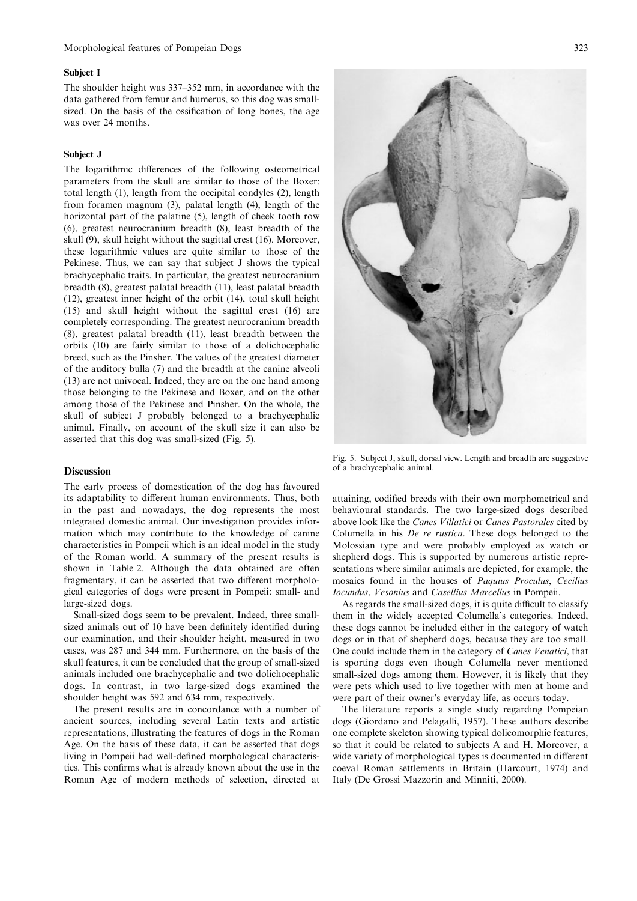#### Subject I

The shoulder height was 337–352 mm, in accordance with the data gathered from femur and humerus, so this dog was smallsized. On the basis of the ossification of long bones, the age was over 24 months.

#### Subject J

The logarithmic differences of the following osteometrical parameters from the skull are similar to those of the Boxer: total length (1), length from the occipital condyles (2), length from foramen magnum (3), palatal length (4), length of the horizontal part of the palatine (5), length of cheek tooth row (6), greatest neurocranium breadth (8), least breadth of the skull (9), skull height without the sagittal crest (16). Moreover, these logarithmic values are quite similar to those of the Pekinese. Thus, we can say that subject J shows the typical brachycephalic traits. In particular, the greatest neurocranium breadth (8), greatest palatal breadth (11), least palatal breadth (12), greatest inner height of the orbit (14), total skull height (15) and skull height without the sagittal crest (16) are completely corresponding. The greatest neurocranium breadth (8), greatest palatal breadth (11), least breadth between the orbits (10) are fairly similar to those of a dolichocephalic breed, such as the Pinsher. The values of the greatest diameter of the auditory bulla (7) and the breadth at the canine alveoli (13) are not univocal. Indeed, they are on the one hand among those belonging to the Pekinese and Boxer, and on the other among those of the Pekinese and Pinsher. On the whole, the skull of subject J probably belonged to a brachycephalic animal. Finally, on account of the skull size it can also be asserted that this dog was small-sized (Fig. 5).

## Discussion

The early process of domestication of the dog has favoured its adaptability to different human environments. Thus, both in the past and nowadays, the dog represents the most integrated domestic animal. Our investigation provides information which may contribute to the knowledge of canine characteristics in Pompeii which is an ideal model in the study of the Roman world. A summary of the present results is shown in Table 2. Although the data obtained are often fragmentary, it can be asserted that two different morphological categories of dogs were present in Pompeii: small- and large-sized dogs.

Small-sized dogs seem to be prevalent. Indeed, three smallsized animals out of 10 have been definitely identified during our examination, and their shoulder height, measured in two cases, was 287 and 344 mm. Furthermore, on the basis of the skull features, it can be concluded that the group of small-sized animals included one brachycephalic and two dolichocephalic dogs. In contrast, in two large-sized dogs examined the shoulder height was 592 and 634 mm, respectively.

The present results are in concordance with a number of ancient sources, including several Latin texts and artistic representations, illustrating the features of dogs in the Roman Age. On the basis of these data, it can be asserted that dogs living in Pompeii had well-defined morphological characteristics. This confirms what is already known about the use in the Roman Age of modern methods of selection, directed at



Fig. 5. Subject J, skull, dorsal view. Length and breadth are suggestive of a brachycephalic animal.

attaining, codified breeds with their own morphometrical and behavioural standards. The two large-sized dogs described above look like the Canes Villatici or Canes Pastorales cited by Columella in his De re rustica. These dogs belonged to the Molossian type and were probably employed as watch or shepherd dogs. This is supported by numerous artistic representations where similar animals are depicted, for example, the mosaics found in the houses of Paquius Proculus, Cecilius Iocundus, Vesonius and Casellius Marcellus in Pompeii.

As regards the small-sized dogs, it is quite difficult to classify them in the widely accepted Columella's categories. Indeed, these dogs cannot be included either in the category of watch dogs or in that of shepherd dogs, because they are too small. One could include them in the category of Canes Venatici, that is sporting dogs even though Columella never mentioned small-sized dogs among them. However, it is likely that they were pets which used to live together with men at home and were part of their owner's everyday life, as occurs today.

The literature reports a single study regarding Pompeian dogs (Giordano and Pelagalli, 1957). These authors describe one complete skeleton showing typical dolicomorphic features, so that it could be related to subjects A and H. Moreover, a wide variety of morphological types is documented in different coeval Roman settlements in Britain (Harcourt, 1974) and Italy (De Grossi Mazzorin and Minniti, 2000).